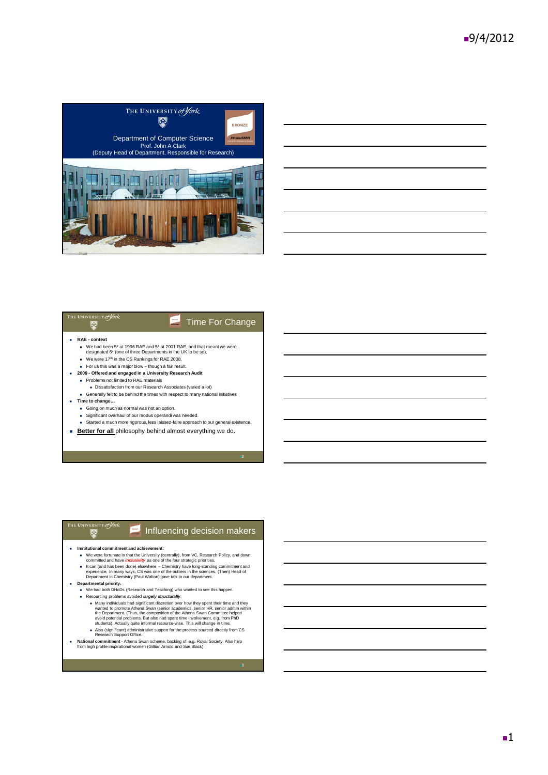



#### The University *of York* **HORE** Time For Change **RAE - context** We had been 5\* at 1996 RAE and 5\* at 2001 RAE, and that meant we were

- designated 6\* (one of three Departments in the UK to be so).
- We were  $17<sup>th</sup>$  in the CS Rankings for RAE 2008.
- For us this was a major blow though a fair result.
- **2009 - Offered and engaged in a University Research Audit** Problems not limited to RAE materials
	- - Dissatisfaction from our Research Associates (varied a lot)
- Generally felt to be behind the times with respect to many national initiatives **Time to change…**
	- Going on much as normal was not an option.
	-
	- Significant overhaul of our modus operandi was needed.<br>■ Started a much more rigorous, less laissez-faire approach to our general existence.
	-
- **Better for all** philosophy behind almost everything we do.

2



3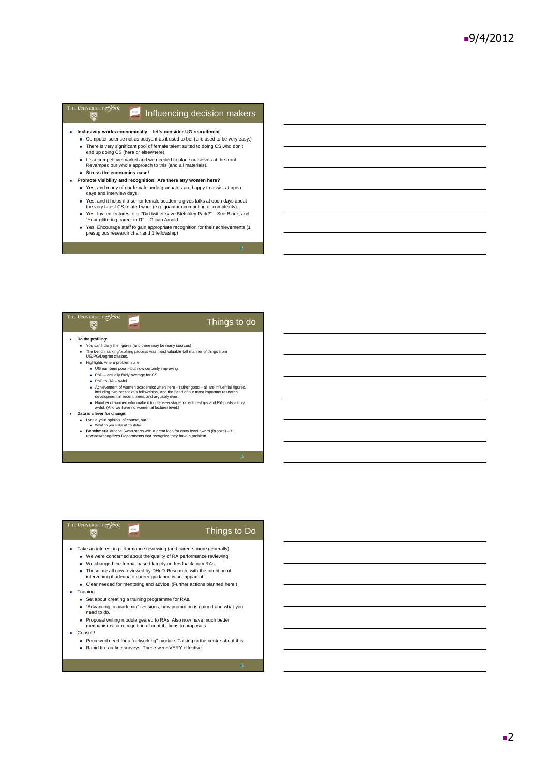#### THE UNIVERSITY of York  $\blacksquare$  Influencing decision makers  $\overline{\bullet}$

- **Inclusivity works economically – let's consider UG recruitment**
	- Computer science not as buoyant as it used to be. (Life used to be very easy.) There is very significant pool of female talent suited to doing CS who don't end up doing CS (here or elsewhere).
	- It's a competitive market and we needed to place ourselves at the front.<br>Revamped our whole approach to this (and all materials).
	- **Stress the economics case!**
- **Promote visibility and recognition: Are there any women here?**
	- Yes, and many of our female undergraduates are happy to assist at open days and interview days.
	- Yes, and it helps if a senior female academic gives talks at open days about the very latest CS related work (e.g. quantum computing or complexity).
	- Yes. Invited lectures, e.g. "Did twitter save Bletchley Park?" Sue Black, and "Your glittering career in IT" Gillian Arnold.
	- Yes. Encourage staff to gain appropriate recognition for their achievements (1 prestigious research chair and 1 fellowship)

## Things to do **Do the profiling:** You can't deny the figures (and there may be many sources) The benchmarking/profiling process was most valuable (all manner of things from UG/PG/Degree classes,

- Highlights where problems are:
	- UG numbers poor but now certainly improving. ■ Domainstic poor Barrior condition
	- $\blacksquare$  PhD to RA awful

THE UNIVERSITY of *York* 

- 
- A Chievement of women academics when here -rather good all are influential figures,<br>including two prestigious fellowships, and the head of our most important research<br>development in recent times, and arguably ever.<br>Numbe
- 
- **Data is a lever for change**:
	- I value your opinion, of course, but...<br>In What do you make of my data?
	- **Benchmark**. Athena Swan starts with a great idea for entry level award (Bronze) it rewards/recognizes Departments that recognize they have a problem.

5

### THE UNIVERSITY of York Things to Do Take an interest in performance reviewing (and careers more generally) We were concerned about the quality of RA performance reviewing. We changed the format based largely on feedback from RAs. These are all now reviewed by DHoD-Research, with the intention of intervening if adequate career guidance is not apparent. Clear needed for mentoring and advice. (Further actions planned here.) **Training** ■ Set about creating a training programme for RAs.

- "Advancing in academia" sessions, how promotion is gained and what you need to do.
- Proposal writing module geared to RAs. Also now have much better mechanisms for recognition of contributions to proposals.
- Consult!
	- Perceived need for a "networking" module. Talking to the centre about this. Rapid fire on-line surveys. These were VERY effective.

6